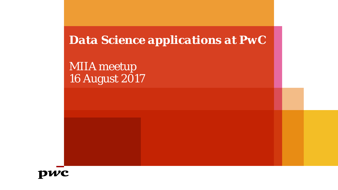*Data Science applications at PwC*

MIIA meetup 16 August 2017

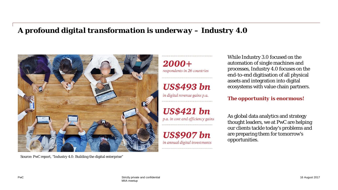## *A profound digital transformation is underway – Industry 4.0*



Source: PwC report, "Industry 4.0: Building the digital enterprise"

 $2000 +$ respondents in 26 countries

**US\$493** bn

in digital revenue gains p.a.

**US\$421** bn

p.a. in cost and efficiency gains

**US\$907** bn in annual digital investments

While Industry 3.0 focused on the automation of single machines and processes, Industry 4.0 focuses on the end-to-end digitisation of all physical assets and integration into digital ecosystems with value chain partners.

*The opportunity is enormous!*

As global data analytics and strategy thought leaders, we at PwC are helping our clients tackle today's problems and are preparing them for tomorrow's opportunities.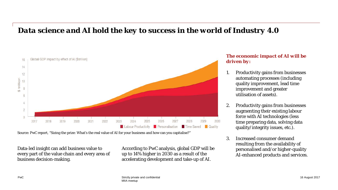# *Data science and AI hold the key to success in the world of Industry 4.0*



Source: PwC report, "Sizing the prize: What's the real value of AI for your business and how can you capitalise?"

Data-led insight can add business value to every part of the value chain and every area of business decision-making.

According to PwC analysis, global GDP will be up to 14% higher in 2030 as a result of the accelerating development and take-up of AI.

## *The economic impact of AI will be driven by:*

- 1. Productivity gains from businesses automating processes (including quality improvement, lead time improvement and greater utilisation of assets).
- 2. Productivity gains from businesses augmenting their existing labour force with AI technologies (less time preparing data, solving data quality/integrity issues, etc.).
- 3. Increased consumer demand resulting from the availability of personalised and/or higher-quality AI-enhanced products and services.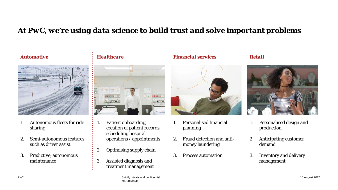# *At PwC, we're using data science to build trust and solve important problems*



- 1. Autonomous fleets for ride sharing
- 2. Semi-autonomous features such as driver assist
- 3. Predictive, autonomous maintenance



- 1. Patient onboarding, creation of patient records, scheduling hospital operations / appointments
- 2. Optimising supply chain
- 3. Assisted diagnosis and treatment management

## *Automotive Healthcare Financial services Retail*



- 1. Personalised financial planning
- 2. Fraud detection and antimoney laundering
- 3. Process automation



- 1. Personalised design and production
- 2. Anticipating customer demand
- 3. Inventory and delivery management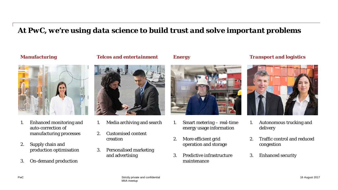# *At PwC, we're using data science to build trust and solve important problems*



- 1. Enhanced monitoring and auto-correction of manufacturing processes
- 2. Supply chain and production optimisation
- 3. On-demand production

*Manufacturing Telcos and entertainment Energy Transport and logistics*



- 1. Media archiving and search
- 2. Customised content creation
- 3. Personalised marketing and advertising



- 1. Smart metering real-time energy usage information
- 2. More efficient grid operation and storage
- 3. Predictive infrastructure maintenance



- 1. Autonomous trucking and delivery
- 2. Traffic control and reduced congestion
- 3. Enhanced security